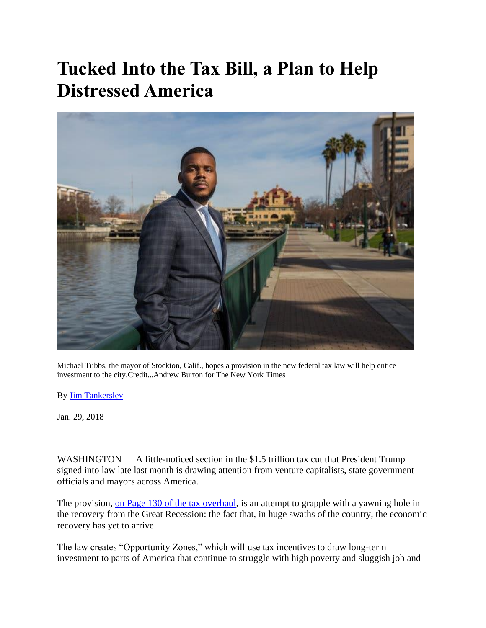## **Tucked Into the Tax Bill, a Plan to Help Distressed America**



Michael Tubbs, the mayor of Stockton, Calif., hopes a provision in the new federal tax law will help entice investment to the city.Credit...Andrew Burton for The New York Times

By [Jim Tankersley](http://www.nytimes.com/by/jim-tankersley)

Jan. 29, 2018

WASHINGTON — A little-noticed section in the \$1.5 trillion tax cut that President Trump signed into law late last month is drawing attention from venture capitalists, state government officials and mayors across America.

The provision, [on Page 130 of the tax overhaul,](https://www.congress.gov/115/bills/hr1/BILLS-115hr1enr.pdf) is an attempt to grapple with a yawning hole in the recovery from the Great Recession: the fact that, in huge swaths of the country, the economic recovery has yet to arrive.

The law creates "Opportunity Zones," which will use tax incentives to draw long-term investment to parts of America that continue to struggle with high poverty and sluggish job and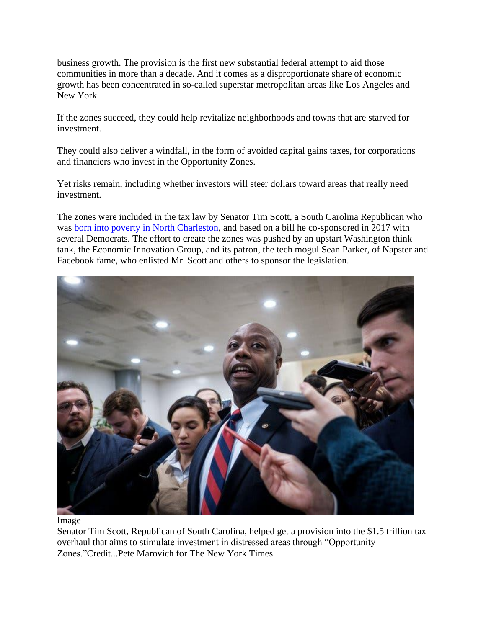business growth. The provision is the first new substantial federal attempt to aid those communities in more than a decade. And it comes as a disproportionate share of economic growth has been concentrated in so-called superstar metropolitan areas like Los Angeles and New York.

If the zones succeed, they could help revitalize neighborhoods and towns that are starved for investment.

They could also deliver a windfall, in the form of avoided capital gains taxes, for corporations and financiers who invest in the Opportunity Zones.

Yet risks remain, including whether investors will steer dollars toward areas that really need investment.

The zones were included in the tax law by Senator Tim Scott, a South Carolina Republican who was [born into poverty in North Charleston,](https://www.scott.senate.gov/about/biography) and based on a bill he co-sponsored in 2017 with several Democrats. The effort to create the zones was pushed by an upstart Washington think tank, the Economic Innovation Group, and its patron, the tech mogul Sean Parker, of Napster and Facebook fame, who enlisted Mr. Scott and others to sponsor the legislation.



## Image

Senator Tim Scott, Republican of South Carolina, helped get a provision into the \$1.5 trillion tax overhaul that aims to stimulate investment in distressed areas through "Opportunity Zones."Credit...Pete Marovich for The New York Times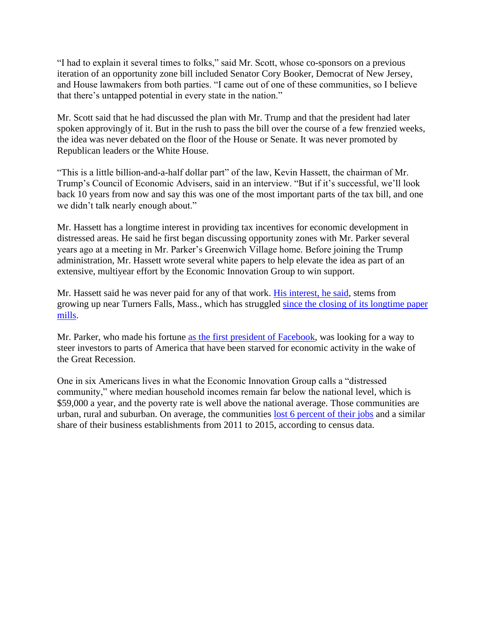"I had to explain it several times to folks," said Mr. Scott, whose co-sponsors on a previous iteration of an opportunity zone bill included Senator Cory Booker, Democrat of New Jersey, and House lawmakers from both parties. "I came out of one of these communities, so I believe that there's untapped potential in every state in the nation."

Mr. Scott said that he had discussed the plan with Mr. Trump and that the president had later spoken approvingly of it. But in the rush to pass the bill over the course of a few frenzied weeks, the idea was never debated on the floor of the House or Senate. It was never promoted by Republican leaders or the White House.

"This is a little billion-and-a-half dollar part" of the law, Kevin Hassett, the chairman of Mr. Trump's Council of Economic Advisers, said in an interview. "But if it's successful, we'll look back 10 years from now and say this was one of the most important parts of the tax bill, and one we didn't talk nearly enough about."

Mr. Hassett has a longtime interest in providing tax incentives for economic development in distressed areas. He said he first began discussing opportunity zones with Mr. Parker several years ago at a meeting in Mr. Parker's Greenwich Village home. Before joining the Trump administration, Mr. Hassett wrote several white papers to help elevate the idea as part of an extensive, multiyear effort by the Economic Innovation Group to win support.

Mr. Hassett said he was never paid for any of that work. [His interest, he said,](https://www.banking.senate.gov/public/_cache/files/9902b281-6454-4ca8-b61a-1a205bf65c48/73459583A4E1046AC282026EBE28F93F.hassett-testimony-6-6-17.pdf) stems from growing up near Turners Falls, Mass., which has struggled [since the closing of its longtime paper](http://www.masslive.com/business-news/index.ssf/2017/08/southworth_paper_closing_leaves_gap_for.html)  [mills.](http://www.masslive.com/business-news/index.ssf/2017/08/southworth_paper_closing_leaves_gap_for.html)

Mr. Parker, who made his fortune [as the first president of Facebook,](https://www.forbes.com/profile/sean-parker/) was looking for a way to steer investors to parts of America that have been starved for economic activity in the wake of the Great Recession.

One in six Americans lives in what the Economic Innovation Group calls a "distressed community," where median household incomes remain far below the national level, which is \$59,000 a year, and the poverty rate is well above the national average. Those communities are urban, rural and suburban. On average, the communities [lost 6 percent of their jobs](http://eig.org/wp-content/uploads/2017/09/2017-Distressed-Communities-Index.pdf) and a similar share of their business establishments from 2011 to 2015, according to census data.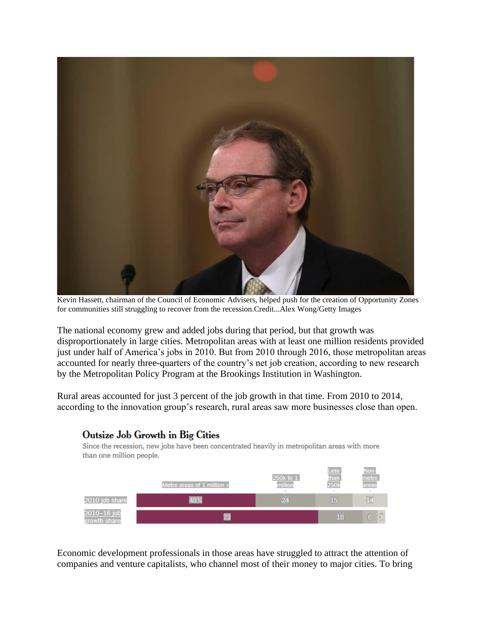

Kevin Hassett, chairman of the Council of Economic Advisers, helped push for the creation of Opportunity Zones for communities still struggling to recover from the recession.Credit...Alex Wong/Getty Images

The national economy grew and added jobs during that period, but that growth was disproportionately in large cities. Metropolitan areas with at least one million residents provided just under half of America's jobs in 2010. But from 2010 through 2016, those metropolitan areas accounted for nearly three-quarters of the country's net job creation, according to new research by the Metropolitan Policy Program at the Brookings Institution in Washington.

Rural areas accounted for just 3 percent of the job growth in that time. From 2010 to 2014, according to the innovation group's research, rural areas saw more businesses close than open.

## Outsize Job Growth in Big Cities Since the recession, new jobs have been concentrated heavily in metropolitan areas with more than one million people. Metro areas of 1 million + 48% 24 15 2010 job share 2010-16 ioh 73 18  $6<sup>1</sup>$

Economic development professionals in those areas have struggled to attract the attention of companies and venture capitalists, who channel most of their money to major cities. To bring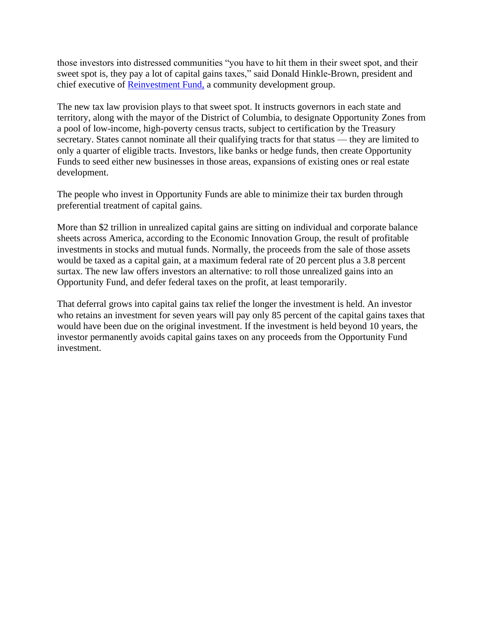those investors into distressed communities "you have to hit them in their sweet spot, and their sweet spot is, they pay a lot of capital gains taxes," said Donald Hinkle-Brown, president and chief executive of [Reinvestment Fund,](https://www.reinvestment.com/about/) a community development group.

The new tax law provision plays to that sweet spot. It instructs governors in each state and territory, along with the mayor of the District of Columbia, to designate Opportunity Zones from a pool of low-income, high-poverty census tracts, subject to certification by the Treasury secretary. States cannot nominate all their qualifying tracts for that status — they are limited to only a quarter of eligible tracts. Investors, like banks or hedge funds, then create Opportunity Funds to seed either new businesses in those areas, expansions of existing ones or real estate development.

The people who invest in Opportunity Funds are able to minimize their tax burden through preferential treatment of capital gains.

More than \$2 trillion in unrealized capital gains are sitting on individual and corporate balance sheets across America, according to the Economic Innovation Group, the result of profitable investments in stocks and mutual funds. Normally, the proceeds from the sale of those assets would be taxed as a capital gain, at a maximum federal rate of 20 percent plus a 3.8 percent surtax. The new law offers investors an alternative: to roll those unrealized gains into an Opportunity Fund, and defer federal taxes on the profit, at least temporarily.

That deferral grows into capital gains tax relief the longer the investment is held. An investor who retains an investment for seven years will pay only 85 percent of the capital gains taxes that would have been due on the original investment. If the investment is held beyond 10 years, the investor permanently avoids capital gains taxes on any proceeds from the Opportunity Fund investment.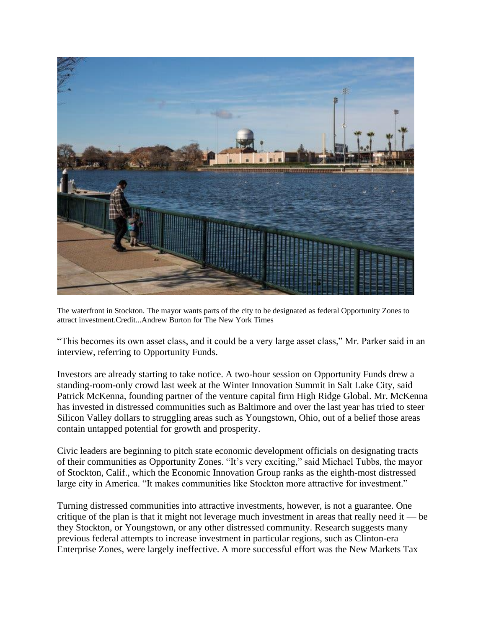

The waterfront in Stockton. The mayor wants parts of the city to be designated as federal Opportunity Zones to attract investment.Credit...Andrew Burton for The New York Times

"This becomes its own asset class, and it could be a very large asset class," Mr. Parker said in an interview, referring to Opportunity Funds.

Investors are already starting to take notice. A two-hour session on Opportunity Funds drew a standing-room-only crowd last week at the Winter Innovation Summit in Salt Lake City, said Patrick McKenna, founding partner of the venture capital firm High Ridge Global. Mr. McKenna has invested in distressed communities such as Baltimore and over the last year has tried to steer Silicon Valley dollars to struggling areas such as Youngstown, Ohio, out of a belief those areas contain untapped potential for growth and prosperity.

Civic leaders are beginning to pitch state economic development officials on designating tracts of their communities as Opportunity Zones. "It's very exciting," said Michael Tubbs, the mayor of Stockton, Calif., which the Economic Innovation Group ranks as the eighth-most distressed large city in America. "It makes communities like Stockton more attractive for investment."

Turning distressed communities into attractive investments, however, is not a guarantee. One critique of the plan is that it might not leverage much investment in areas that really need it — be they Stockton, or Youngstown, or any other distressed community. Research suggests many previous federal attempts to increase investment in particular regions, such as Clinton-era Enterprise Zones, were largely ineffective. A more successful effort was the New Markets Tax